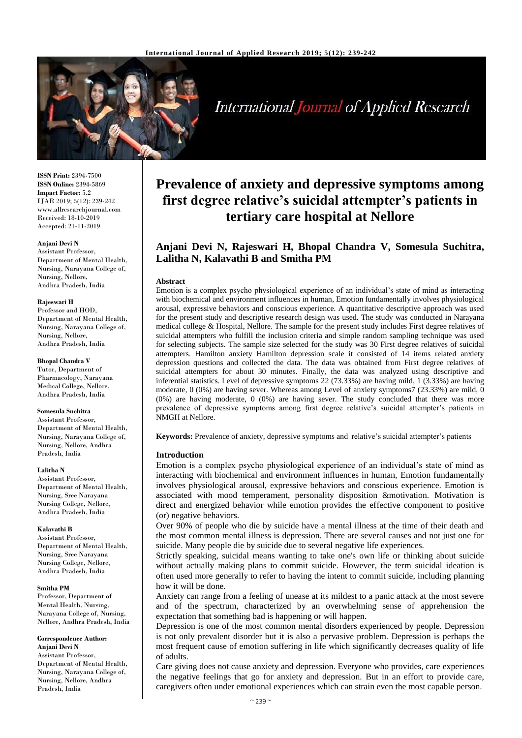

# **International Journal of Applied Research**

**ISSN Print:** 2394-7500 **ISSN Online:** 2394-5869 **Impact Factor:** 5.2 IJAR 2019; 5(12): 239-242 www.allresearchjournal.com Received: 18-10-2019 Accepted: 21-11-2019

#### **Anjani Devi N**

Assistant Professor, Department of Mental Health, Nursing, Narayana College of, Nursing, Nellore, Andhra Pradesh, India

#### **Rajeswari H**

Professor and HOD, Department of Mental Health, Nursing, Narayana College of, Nursing, Nellore, Andhra Pradesh, India

#### **Bhopal Chandra V**

Tutor, Department of Pharmacology, Narayana Medical College, Nellore, Andhra Pradesh, India

#### **Somesula Suchitra**

Assistant Professor, Department of Mental Health, Nursing, Narayana College of, Nursing, Nellore, Andhra Pradesh, India

#### **Lalitha N**

Assistant Professor, Department of Mental Health, Nursing, Sree Narayana Nursing College, Nellore, Andhra Pradesh, India

#### **Kalavathi B**

Assistant Professor, Department of Mental Health, Nursing, Sree Narayana Nursing College, Nellore, Andhra Pradesh, India

#### **Smitha PM**

Professor, Department of Mental Health, Nursing, Narayana College of, Nursing, Nellore, Andhra Pradesh, India

#### **Correspondence Author:**

**Anjani Devi N** Assistant Professor, Department of Mental Health, Nursing, Narayana College of, Nursing, Nellore, Andhra Pradesh, India

## **Prevalence of anxiety and depressive symptoms among first degree relative's suicidal attempter's patients in tertiary care hospital at Nellore**

### **Anjani Devi N, Rajeswari H, Bhopal Chandra V, Somesula Suchitra, Lalitha N, Kalavathi B and Smitha PM**

#### **Abstract**

Emotion is a complex psycho physiological experience of an individual's state of mind as interacting with biochemical and environment influences in human, Emotion fundamentally involves physiological arousal, expressive behaviors and conscious experience. A quantitative descriptive approach was used for the present study and descriptive research design was used. The study was conducted in Narayana medical college & Hospital, Nellore. The sample for the present study includes First degree relatives of suicidal attempters who fulfill the inclusion criteria and simple random sampling technique was used for selecting subjects. The sample size selected for the study was 30 First degree relatives of suicidal attempters. Hamilton anxiety Hamilton depression scale it consisted of 14 items related anxiety depression questions and collected the data. The data was obtained from First degree relatives of suicidal attempters for about 30 minutes. Finally, the data was analyzed using descriptive and inferential statistics. Level of depressive symptoms 22 (73.33%) are having mild, 1 (3.33%) are having moderate, 0 (0%) are having sever. Whereas among Level of anxiety symptoms7 (23.33%) are mild, 0 (0%) are having moderate, 0 (0%) are having sever. The study concluded that there was more prevalence of depressive symptoms among first degree relative's suicidal attempter's patients in NMGH at Nellore.

**Keywords:** Prevalence of anxiety, depressive symptoms and relative's suicidal attempter's patients

#### **Introduction**

Emotion is a complex psycho physiological experience of an individual's state of mind as interacting with biochemical and environment influences in human, Emotion fundamentally involves physiological arousal, expressive behaviors and conscious experience. Emotion is associated with mood temperament, personality disposition &motivation. Motivation is direct and energized behavior while emotion provides the effective component to positive (or) negative behaviors.

Over 90% of people who die by suicide have a mental illness at the time of their death and the most common mental illness is depression. There are several causes and not just one for suicide. Many people die by suicide due to several negative life experiences.

Strictly speaking, suicidal means wanting to take one's own life or thinking about suicide without actually making plans to commit suicide. However, the term suicidal ideation is often used more generally to refer to having the intent to commit suicide, including planning how it will be done.

Anxiety can range from a feeling of unease at its mildest to a panic attack at the most severe and of the spectrum, characterized by an overwhelming sense of apprehension the expectation that something bad is happening or will happen.

Depression is one of the most common mental disorders experienced by people. Depression is not only prevalent disorder but it is also a pervasive problem. Depression is perhaps the most frequent cause of emotion suffering in life which significantly decreases quality of life of adults.

Care giving does not cause anxiety and depression. Everyone who provides, care experiences the negative feelings that go for anxiety and depression. But in an effort to provide care, caregivers often under emotional experiences which can strain even the most capable person.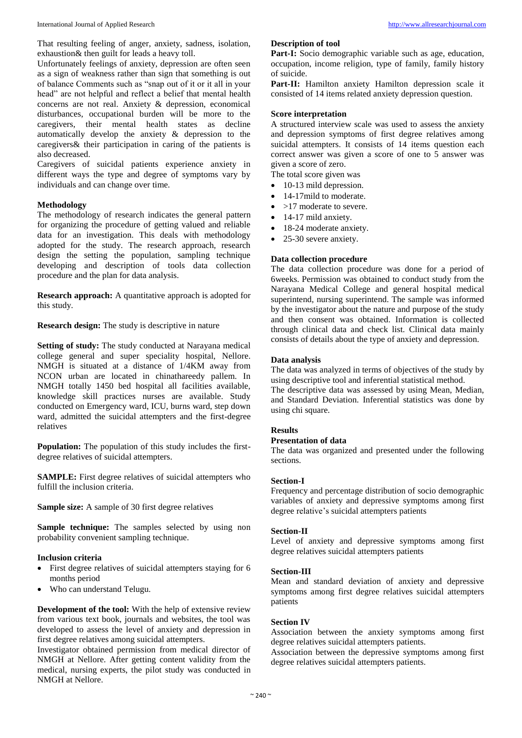That resulting feeling of anger, anxiety, sadness, isolation, exhaustion& then guilt for leads a heavy toll.

Unfortunately feelings of anxiety, depression are often seen as a sign of weakness rather than sign that something is out of balance Comments such as "snap out of it or it all in your head" are not helpful and reflect a belief that mental health concerns are not real. Anxiety & depression, economical disturbances, occupational burden will be more to the caregivers, their mental health states as decline automatically develop the anxiety & depression to the caregivers& their participation in caring of the patients is also decreased.

Caregivers of suicidal patients experience anxiety in different ways the type and degree of symptoms vary by individuals and can change over time.

#### **Methodology**

The methodology of research indicates the general pattern for organizing the procedure of getting valued and reliable data for an investigation. This deals with methodology adopted for the study. The research approach, research design the setting the population, sampling technique developing and description of tools data collection procedure and the plan for data analysis.

**Research approach:** A quantitative approach is adopted for this study.

**Research design:** The study is descriptive in nature

**Setting of study:** The study conducted at Narayana medical college general and super speciality hospital, Nellore. NMGH is situated at a distance of 1/4KM away from NCON urban are located in chinathareedy pallem. In NMGH totally 1450 bed hospital all facilities available, knowledge skill practices nurses are available. Study conducted on Emergency ward, ICU, burns ward, step down ward, admitted the suicidal attempters and the first-degree relatives

**Population:** The population of this study includes the firstdegree relatives of suicidal attempters.

**SAMPLE:** First degree relatives of suicidal attempters who fulfill the inclusion criteria.

**Sample size:** A sample of 30 first degree relatives

**Sample technique:** The samples selected by using non probability convenient sampling technique.

#### **Inclusion criteria**

- First degree relatives of suicidal attempters staying for 6 months period
- Who can understand Telugu.

**Development of the tool:** With the help of extensive review from various text book, journals and websites, the tool was developed to assess the level of anxiety and depression in first degree relatives among suicidal attempters.

Investigator obtained permission from medical director of NMGH at Nellore. After getting content validity from the medical, nursing experts, the pilot study was conducted in NMGH at Nellore.

#### **Description of tool**

Part-I: Socio demographic variable such as age, education, occupation, income religion, type of family, family history of suicide.

Part-II: Hamilton anxiety Hamilton depression scale it consisted of 14 items related anxiety depression question.

#### **Score interpretation**

A structured interview scale was used to assess the anxiety and depression symptoms of first degree relatives among suicidal attempters. It consists of 14 items question each correct answer was given a score of one to  $\overline{5}$  answer was given a score of zero.

The total score given was

- 10-13 mild depression.
- 14-17mild to moderate.
- >17 moderate to severe.
- 14-17 mild anxiety.
- 18-24 moderate anxiety.
- 25-30 severe anxiety.

#### **Data collection procedure**

The data collection procedure was done for a period of 6weeks. Permission was obtained to conduct study from the Narayana Medical College and general hospital medical superintend, nursing superintend. The sample was informed by the investigator about the nature and purpose of the study and then consent was obtained. Information is collected through clinical data and check list. Clinical data mainly consists of details about the type of anxiety and depression.

#### **Data analysis**

The data was analyzed in terms of objectives of the study by using descriptive tool and inferential statistical method.

The descriptive data was assessed by using Mean, Median, and Standard Deviation. Inferential statistics was done by using chi square.

#### **Results**

#### **Presentation of data**

The data was organized and presented under the following sections.

#### **Section-I**

Frequency and percentage distribution of socio demographic variables of anxiety and depressive symptoms among first degree relative's suicidal attempters patients

#### **Section-II**

Level of anxiety and depressive symptoms among first degree relatives suicidal attempters patients

#### **Section-III**

Mean and standard deviation of anxiety and depressive symptoms among first degree relatives suicidal attempters patients

#### **Section IV**

Association between the anxiety symptoms among first degree relatives suicidal attempters patients.

Association between the depressive symptoms among first degree relatives suicidal attempters patients.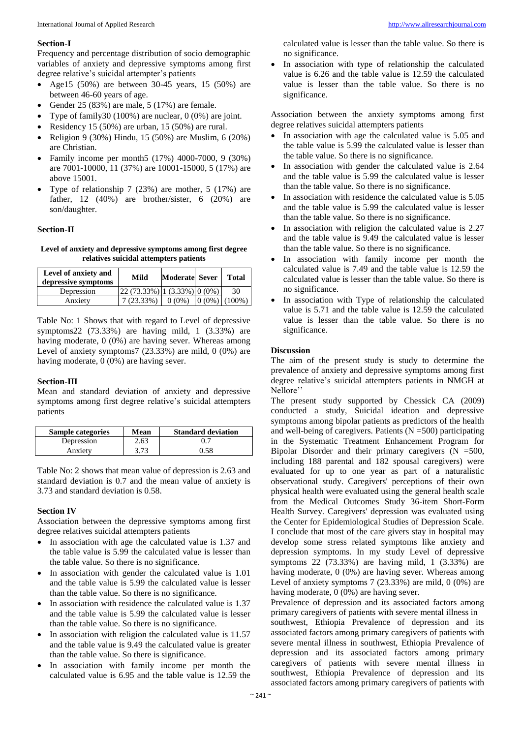#### **Section-I**

Frequency and percentage distribution of socio demographic variables of anxiety and depressive symptoms among first degree relative's suicidal attempter's patients

- Age15 (50%) are between  $30-45$  years, 15 (50%) are between 46-60 years of age.
- Gender  $25 (83%)$  are male,  $5 (17%)$  are female.
- Type of family30 (100%) are nuclear, 0 (0%) are joint.
- Residency 15 (50%) are urban, 15 (50%) are rural.
- Religion 9 (30%) Hindu, 15 (50%) are Muslim, 6 (20%) are Christian.
- Family income per month5 (17%) 4000-7000, 9 (30%) are 7001-10000, 11 (37%) are 10001-15000, 5 (17%) are above 15001.
- Type of relationship 7 (23%) are mother, 5 (17%) are father, 12 (40%) are brother/sister, 6 (20%) are son/daughter.

#### **Section-II**

**Level of anxiety and depressive symptoms among first degree relatives suicidal attempters patients**

| Level of anxiety and<br>depressive symptoms | Mild                                                                                                                      | <b>Moderate Sever</b> | <b>Total</b>     |
|---------------------------------------------|---------------------------------------------------------------------------------------------------------------------------|-----------------------|------------------|
| Depression                                  | $\left  22 \left( 73.33\% \right) \right $ $\left  1 \left( 3.33\% \right) \right $ $\left  0 \left( 0\% \right) \right $ |                       | 30               |
| Anxietv                                     | $7(23.33\%)$                                                                                                              | $0(0\%)$              | $(0.0\%)$ (100%) |

Table No: 1 Shows that with regard to Level of depressive symptoms22 (73.33%) are having mild, 1 (3.33%) are having moderate, 0 (0%) are having sever. Whereas among Level of anxiety symptoms7 (23.33%) are mild, 0 (0%) are having moderate, 0 (0%) are having sever.

#### **Section-III**

Mean and standard deviation of anxiety and depressive symptoms among first degree relative's suicidal attempters patients

| <b>Sample categories</b> | Mean | <b>Standard deviation</b> |
|--------------------------|------|---------------------------|
| Depression               | 2.63 |                           |
| Anxiety                  | 2 71 |                           |

Table No: 2 shows that mean value of depression is 2.63 and standard deviation is 0.7 and the mean value of anxiety is 3.73 and standard deviation is 0.58.

#### **Section IV**

Association between the depressive symptoms among first degree relatives suicidal attempters patients

- In association with age the calculated value is 1.37 and the table value is 5.99 the calculated value is lesser than the table value. So there is no significance.
- In association with gender the calculated value is 1.01 and the table value is 5.99 the calculated value is lesser than the table value. So there is no significance.
- In association with residence the calculated value is 1.37 and the table value is 5.99 the calculated value is lesser than the table value. So there is no significance.
- In association with religion the calculated value is 11.57 and the table value is 9.49 the calculated value is greater than the table value. So there is significance.
- In association with family income per month the calculated value is 6.95 and the table value is 12.59 the

calculated value is lesser than the table value. So there is no significance.

 In association with type of relationship the calculated value is 6.26 and the table value is 12.59 the calculated value is lesser than the table value. So there is no significance.

Association between the anxiety symptoms among first degree relatives suicidal attempters patients

- In association with age the calculated value is 5.05 and the table value is 5.99 the calculated value is lesser than the table value. So there is no significance.
- In association with gender the calculated value is 2.64 and the table value is 5.99 the calculated value is lesser than the table value. So there is no significance.
- In association with residence the calculated value is 5.05 and the table value is 5.99 the calculated value is lesser than the table value. So there is no significance.
- In association with religion the calculated value is 2.27 and the table value is 9.49 the calculated value is lesser than the table value. So there is no significance.
- In association with family income per month the calculated value is 7.49 and the table value is 12.59 the calculated value is lesser than the table value. So there is no significance.
- In association with Type of relationship the calculated value is 5.71 and the table value is 12.59 the calculated value is lesser than the table value. So there is no significance.

#### **Discussion**

The aim of the present study is study to determine the prevalence of anxiety and depressive symptoms among first degree relative's suicidal attempters patients in NMGH at Nellore''

The present study supported by Chessick CA (2009) conducted a study, Suicidal ideation and depressive symptoms among bipolar patients as predictors of the health and well-being of caregivers. Patients  $(N = 500)$  participating in the Systematic Treatment Enhancement Program for Bipolar Disorder and their primary caregivers  $(N = 500,$ including 188 parental and 182 spousal caregivers) were evaluated for up to one year as part of a naturalistic observational study. Caregivers' perceptions of their own physical health were evaluated using the general health scale from the Medical Outcomes Study 36-item Short-Form Health Survey. Caregivers' depression was evaluated using the Center for Epidemiological Studies of Depression Scale. I conclude that most of the care givers stay in hospital may develop some stress related symptoms like anxiety and depression symptoms. In my study Level of depressive symptoms  $22$  (73.33%) are having mild, 1 (3.33%) are having moderate, 0 (0%) are having sever. Whereas among Level of anxiety symptoms  $7$  (23.33%) are mild,  $0$  (0%) are having moderate, 0 (0%) are having sever.

Prevalence of depression and its associated factors among primary caregivers of patients with severe mental illness in southwest, Ethiopia Prevalence of depression and its associated factors among primary caregivers of patients with severe mental illness in southwest, Ethiopia Prevalence of depression and its associated factors among primary caregivers of patients with severe mental illness in southwest, Ethiopia Prevalence of depression and its associated factors among primary caregivers of patients with